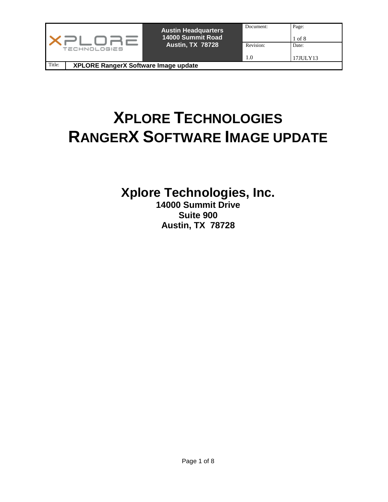|                                                | <b>Austin Headquarters</b><br>14000 Summit Road | Document: | Page:<br>1 of 8 |
|------------------------------------------------|-------------------------------------------------|-----------|-----------------|
| TECHNOLOGIES                                   | <b>Austin, TX 78728</b>                         | Revision: | Date:           |
|                                                |                                                 | 1.0       | 17JULY13        |
| Title:<br>XPLORE RangerX Software Image update |                                                 |           |                 |

# **XPLORE TECHNOLOGIES RANGERX SOFTWARE IMAGE UPDATE**

**Xplore Technologies, Inc.** 

**14000 Summit Drive Suite 900 Austin, TX 78728**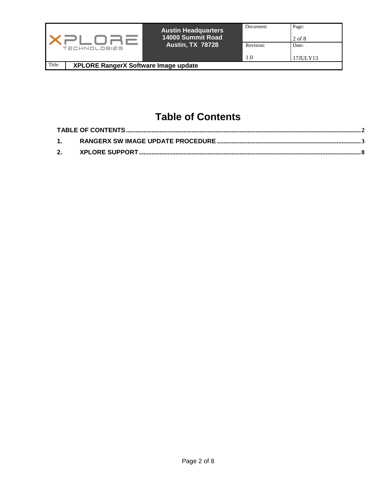|        | <b>TECHNOLOGIES</b>                         | <b>Austin Headquarters</b><br>14000 Summit Road<br><b>Austin, TX 78728</b> | Document:<br>Revision:<br>1.0 | Page:<br>2 of 8<br>Date:<br>17JULY13 |
|--------|---------------------------------------------|----------------------------------------------------------------------------|-------------------------------|--------------------------------------|
| Title: | <b>XPLORE RangerX Software Image update</b> |                                                                            |                               |                                      |

# **Table of Contents**

<span id="page-1-0"></span>

| 2. |  |
|----|--|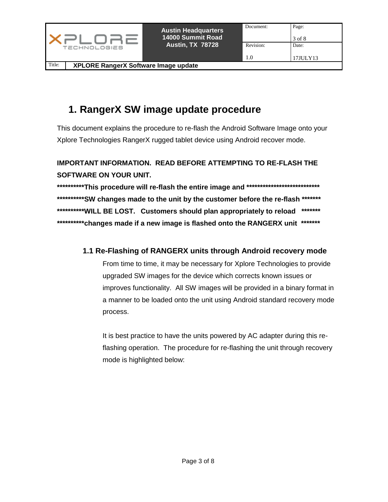|        |                                      | <b>Austin Headquarters</b><br>14000 Summit Road | Document: | Page:<br>3 of 8 |
|--------|--------------------------------------|-------------------------------------------------|-----------|-----------------|
|        | TECHNOLOGIES                         | <b>Austin, TX 78728</b>                         | Revision: | Date:           |
|        |                                      |                                                 | 1.0       | 17JULY13        |
| Title: | XPLORE RangerX Software Image update |                                                 |           |                 |

# <span id="page-2-0"></span>**1. RangerX SW image update procedure**

This document explains the procedure to re-flash the Android Software Image onto your Xplore Technologies RangerX rugged tablet device using Android recover mode.

### **IMPORTANT INFORMATION. READ BEFORE ATTEMPTING TO RE-FLASH THE SOFTWARE ON YOUR UNIT.**

**\*\*\*\*\*\*\*\*\*\*This procedure will re-flash the entire image and \*\*\*\*\*\*\*\*\*\*\*\*\*\*\*\*\*\*\*\*\*\*\*\*\*\*\* \*\*\*\*\*\*\*\*\*\*SW changes made to the unit by the customer before the re-flash \*\*\*\*\*\*\* \*\*\*\*\*\*\*\*\*\*WILL BE LOST. Customers should plan appropriately to reload \*\*\*\*\*\*\* \*\*\*\*\*\*\*\*\*\*changes made if a new image is flashed onto the RANGERX unit \*\*\*\*\*\*\*** 

#### **1.1 Re-Flashing of RANGERX units through Android recovery mode**

From time to time, it may be necessary for Xplore Technologies to provide upgraded SW images for the device which corrects known issues or improves functionality. All SW images will be provided in a binary format in a manner to be loaded onto the unit using Android standard recovery mode process.

It is best practice to have the units powered by AC adapter during this reflashing operation. The procedure for re-flashing the unit through recovery mode is highlighted below: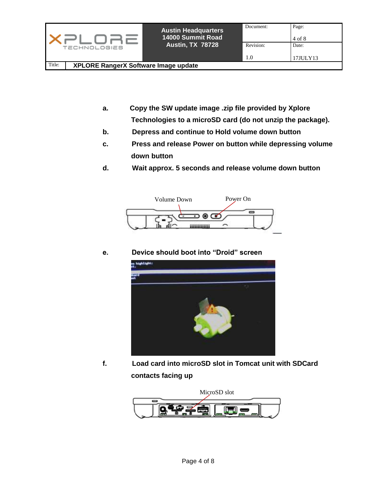|        |                                      | <b>Austin Headquarters</b><br>14000 Summit Road | Document: | Page:<br>4 of 8 |
|--------|--------------------------------------|-------------------------------------------------|-----------|-----------------|
|        | <b>TECHNOLOGIES</b>                  | <b>Austin, TX 78728</b>                         | Revision: | Date:           |
|        |                                      |                                                 | 1.0       | 17JULY13        |
| Title: | XPLORE RangerX Software Image update |                                                 |           |                 |

- **a. Copy the SW update image .zip file provided by Xplore Technologies to a microSD card (do not unzip the package).**
- **b. Depress and continue to Hold volume down button**
- **c. Press and release Power on button while depressing volume down button**
- **d. Wait approx. 5 seconds and release volume down button**



**e. Device should boot into "Droid" screen**



**f. Load card into microSD slot in Tomcat unit with SDCard contacts facing up** 

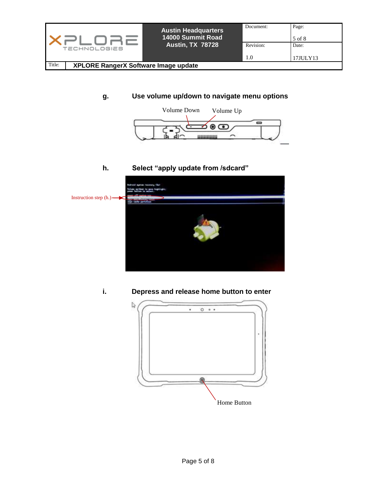

#### **g. Use volume up/down to navigate menu options**



#### **h. Select "apply update from /sdcard"**



**i. Depress and release home button to enter** 

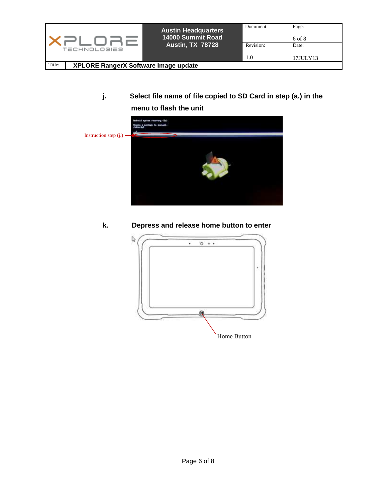|                                                | <b>Austin Headquarters</b><br>14000 Summit Road | Page:<br>Document:<br>$6$ of $8$ |          |
|------------------------------------------------|-------------------------------------------------|----------------------------------|----------|
| <b>TECHNOLOGIES</b>                            | <b>Austin, TX 78728</b>                         | Revision:                        | Date:    |
|                                                |                                                 | 1.0                              | 17JULY13 |
| Title:<br>XPLORE RangerX Software Image update |                                                 |                                  |          |

### **j. Select file name of file copied to SD Card in step (a.) in the menu to flash the unit**



#### **k. Depress and release home button to enter**

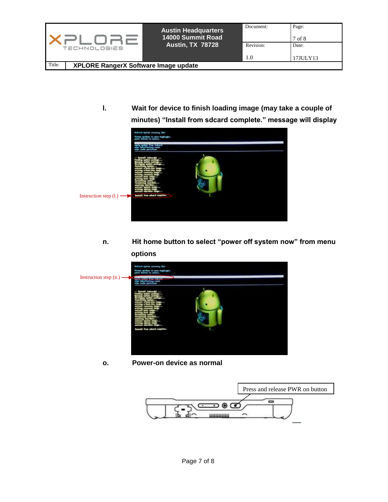

**l. Wait for device to finish loading image (may take a couple of minutes) "Install from sdcard complete." message will display**



**n. Hit home button to select "power off system now" from menu options** 



**o. Power-on device as normal**